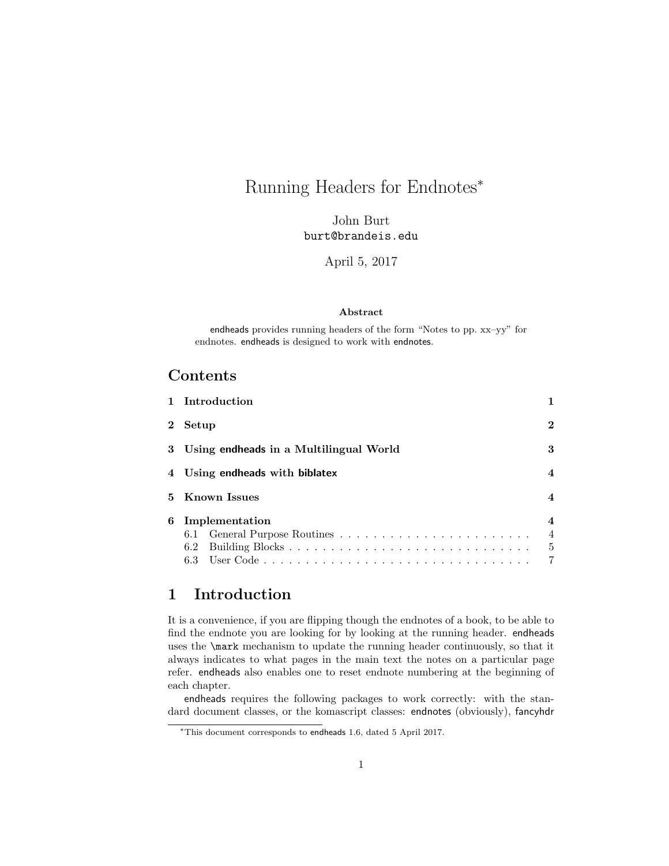# Running Headers for Endnotes<sup>∗</sup>

John Burt burt@brandeis.edu

April 5, 2017

#### Abstract

endheads provides running headers of the form "Notes to pp. xx–yy" for endnotes. endheads is designed to work with endnotes.

## Contents

|              | 1 Introduction                                        |                                                                   |
|--------------|-------------------------------------------------------|-------------------------------------------------------------------|
| $\mathbf{2}$ | Setup                                                 | 2                                                                 |
|              | 3 Using endheads in a Multilingual World              | 3                                                                 |
|              | 4 Using endheads with biblatex                        | 4                                                                 |
| 5.           | <b>Known Issues</b>                                   | $\overline{\mathcal{A}}$                                          |
| 6            | Implementation<br>6.1 General Purpose Routines<br>6.2 | $\overline{\mathcal{A}}$<br>$\overline{4}$<br>5<br>$\overline{7}$ |

# 1 Introduction

It is a convenience, if you are flipping though the endnotes of a book, to be able to find the endnote you are looking for by looking at the running header. endheads uses the \mark mechanism to update the running header continuously, so that it always indicates to what pages in the main text the notes on a particular page refer. endheads also enables one to reset endnote numbering at the beginning of each chapter.

endheads requires the following packages to work correctly: with the standard document classes, or the komascript classes: endnotes (obviously), fancyhdr

<sup>∗</sup>This document corresponds to endheads 1.6, dated 5 April 2017.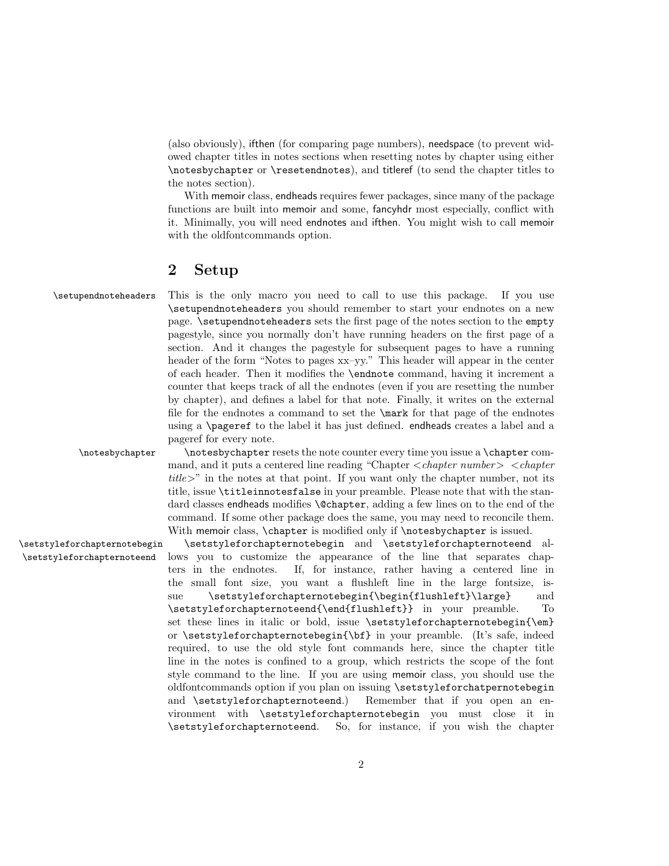(also obviously), ifthen (for comparing page numbers), needspace (to prevent widowed chapter titles in notes sections when resetting notes by chapter using either \notesbychapter or \resetendnotes), and titleref (to send the chapter titles to the notes section).

With memoir class, endheads requires fewer packages, since many of the package functions are built into memoir and some, fancyhdr most especially, conflict with it. Minimally, you will need endnotes and ifthen. You might wish to call memoir with the oldfontcommands option.

### 2 Setup

\setupendnoteheaders This is the only macro you need to call to use this package. If you use \setupendnoteheaders you should remember to start your endnotes on a new page. \setupendnoteheaders sets the first page of the notes section to the empty pagestyle, since you normally don't have running headers on the first page of a section. And it changes the pagestyle for subsequent pages to have a running header of the form "Notes to pages xx–yy." This header will appear in the center of each header. Then it modifies the \endnote command, having it increment a counter that keeps track of all the endnotes (even if you are resetting the number by chapter), and defines a label for that note. Finally, it writes on the external file for the endnotes a command to set the \mark for that page of the endnotes using a \pageref to the label it has just defined. endheads creates a label and a pageref for every note.

\notesbychapter \notesbychapter resets the note counter every time you issue a \chapter command, and it puts a centered line reading "Chapter  $\langle chapter number \rangle$   $\langle chapter$  $title$ , in the notes at that point. If you want only the chapter number, not its title, issue \titleinnotesfalse in your preamble. Please note that with the standard classes endheads modifies **\@chapter**, adding a few lines on to the end of the command. If some other package does the same, you may need to reconcile them. With memoir class, \chapter is modified only if \notesbychapter is issued.

\setstyleforchapternotebegin \setstyleforchapternotebegin and \setstyleforchapternoteend al- \setstyleforchapternoteend lows you to customize the appearance of the line that separates chapters in the endnotes. If, for instance, rather having a centered line in the small font size, you want a flushleft line in the large fontsize, issue \setstyleforchapternotebegin{\begin{flushleft}\large} and \setstyleforchapternoteend{\end{flushleft}} in your preamble. To set these lines in italic or bold, issue \setstyleforchapternotebegin{\em} or \setstyleforchapternotebegin{\bf} in your preamble. (It's safe, indeed required, to use the old style font commands here, since the chapter title line in the notes is confined to a group, which restricts the scope of the font style command to the line. If you are using memoir class, you should use the oldfontcommands option if you plan on issuing \setstyleforchatpernotebegin and \setstyleforchapternoteend.) Remember that if you open an environment with \setstyleforchapternotebegin you must close it in \setstyleforchapternoteend. So, for instance, if you wish the chapter

2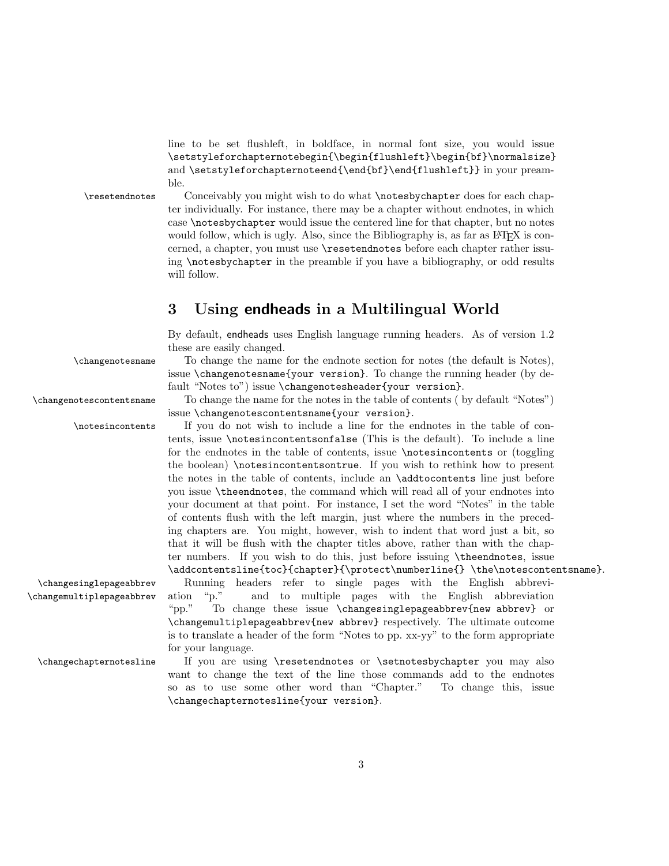line to be set flushleft, in boldface, in normal font size, you would issue \setstyleforchapternotebegin{\begin{flushleft}\begin{bf}\normalsize} and \setstyleforchapternoteend{\end{bf}\end{flushleft}} in your preamble.

\resetendnotes Conceivably you might wish to do what \notesbychapter does for each chapter individually. For instance, there may be a chapter without endnotes, in which case \notesbychapter would issue the centered line for that chapter, but no notes would follow, which is ugly. Also, since the Bibliography is, as far as L<sup>A</sup>T<sub>E</sub>X is concerned, a chapter, you must use \resetendnotes before each chapter rather issuing \notesbychapter in the preamble if you have a bibliography, or odd results will follow.

## 3 Using endheads in a Multilingual World

By default, endheads uses English language running headers. As of version 1.2 these are easily changed.

#### \changenotesname To change the name for the endnote section for notes (the default is Notes),

fault "Notes to") issue \changenotesheader{your version}. \changenotescontentsname To change the name for the notes in the table of contents ( by default "Notes") issue \changenotescontentsname{your version}.

issue \changenotesname{your version}. To change the running header (by de-

\notesincontents If you do not wish to include a line for the endnotes in the table of contents, issue \notesincontentsonfalse (This is the default). To include a line for the endnotes in the table of contents, issue \notesincontents or (toggling the boolean) \notesincontentsontrue. If you wish to rethink how to present the notes in the table of contents, include an \addtocontents line just before you issue \theendnotes, the command which will read all of your endnotes into your document at that point. For instance, I set the word "Notes" in the table of contents flush with the left margin, just where the numbers in the preceding chapters are. You might, however, wish to indent that word just a bit, so that it will be flush with the chapter titles above, rather than with the chapter numbers. If you wish to do this, just before issuing \theendnotes, issue \addcontentsline{toc}{chapter}{\protect\numberline{} \the\notescontentsname}.

\changesinglepageabbrev Running headers refer to single pages with the English abbrevi- \changemultiplepageabbrev ation "p." and to multiple pages with the English abbreviation "pp." To change these issue \changesinglepageabbrev{new abbrev} or \changemultiplepageabbrev{new abbrev} respectively. The ultimate outcome is to translate a header of the form "Notes to pp. xx-yy" to the form appropriate for your language.

\changechapternotesline If you are using \resetendnotes or \setnotesbychapter you may also want to change the text of the line those commands add to the endnotes so as to use some other word than "Chapter." To change this, issue \changechapternotesline{your version}.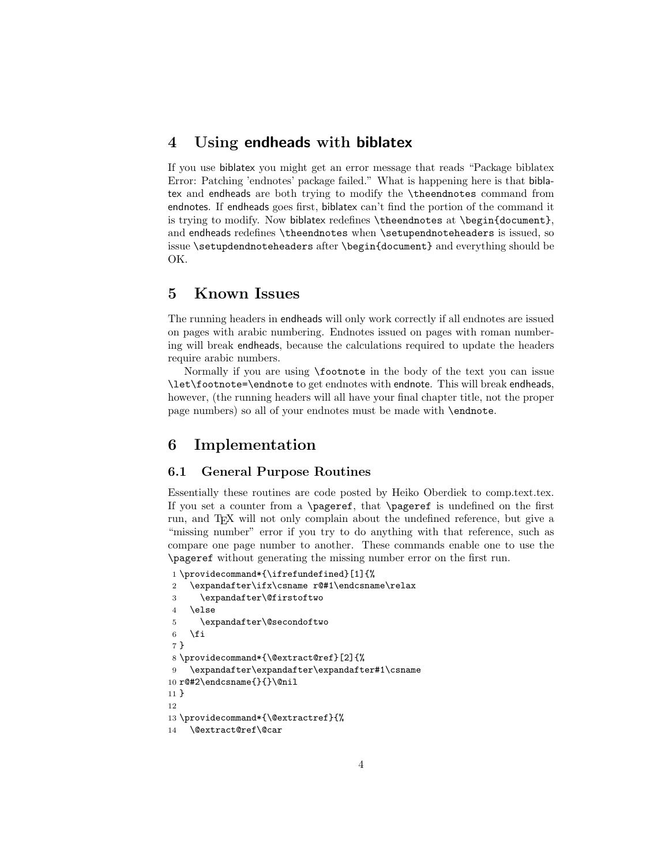### 4 Using endheads with biblatex

If you use biblatex you might get an error message that reads "Package biblatex Error: Patching 'endnotes' package failed." What is happening here is that biblatex and endheads are both trying to modify the \theendnotes command from endnotes. If endheads goes first, biblatex can't find the portion of the command it is trying to modify. Now biblatex redefines \theendnotes at \begin{document}, and endheads redefines \theendnotes when \setupendnoteheaders is issued, so issue \setupdendnoteheaders after \begin{document} and everything should be OK.

### 5 Known Issues

The running headers in endheads will only work correctly if all endnotes are issued on pages with arabic numbering. Endnotes issued on pages with roman numbering will break endheads, because the calculations required to update the headers require arabic numbers.

Normally if you are using \footnote in the body of the text you can issue \let\footnote=\endnote to get endnotes with endnote. This will break endheads, however, (the running headers will all have your final chapter title, not the proper page numbers) so all of your endnotes must be made with \endnote.

### 6 Implementation

### 6.1 General Purpose Routines

Essentially these routines are code posted by Heiko Oberdiek to comp.text.tex. If you set a counter from a \pageref, that \pageref is undefined on the first run, and TEX will not only complain about the undefined reference, but give a "missing number" error if you try to do anything with that reference, such as compare one page number to another. These commands enable one to use the \pageref without generating the missing number error on the first run.

```
1 \providecommand*{\ifrefundefined}[1]{%
2 \expandafter\ifx\csname r@#1\endcsname\relax
3 \expandafter\@firstoftwo
4 \else
5 \expandafter\@secondoftwo
6 \fi
7 }
8 \providecommand*{\@extract@ref}[2]{%
9 \expandafter\expandafter\expandafter#1\csname
10 r@#2\endcsname{}{}\@nil
11 }
12
13 \providecommand*{\@extractref}{%
14 \@extract@ref\@car
```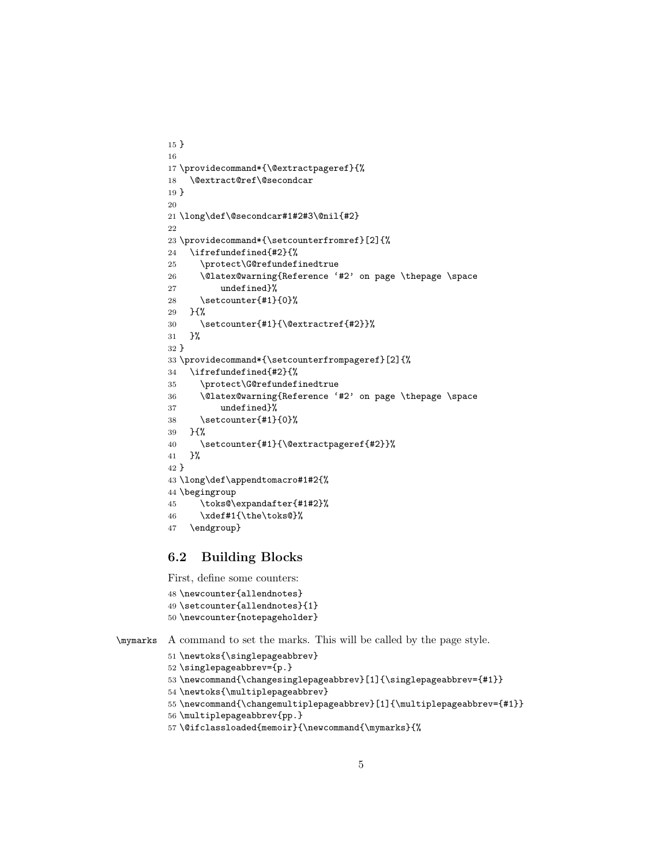```
15 }
16
17 \providecommand*{\@extractpageref}{%
18 \@extract@ref\@secondcar
19 }
20
21 \long\def\@secondcar#1#2#3\@nil{#2}
22
23 \providecommand*{\setcounterfromref}[2]{%
24 \ifrefundefined{#2}{%
25 \protect\G@refundefinedtrue
26 \@latex@warning{Reference '#2' on page \thepage \space
27 undefined}%
28 \setcounter{#1}{0}%
29 }{%
30 \setcounter{#1}{\@extractref{#2}}%
31 }%
32 }
33 \providecommand*{\setcounterfrompageref}[2]{%
34 \ifrefundefined{#2}{%
35 \protect\G@refundefinedtrue
36 \@latex@warning{Reference '#2' on page \thepage \space
37 undefined}%
38 \setcounter{#1}{0}%
39 }{%
40 \setcounter{#1}{\@extractpageref{#2}}%
41 }%
42 }
43 \long\def\appendtomacro#1#2{%
44 \begingroup
45 \toks@\expandafter{#1#2}%
46 \xdef#1{\the\toks@}%
47 \endgroup}
```
### 6.2 Building Blocks

First, define some counters:

```
48 \newcounter{allendnotes}
49 \setcounter{allendnotes}{1}
50 \newcounter{notepageholder}
```

```
\mymarks A command to set the marks. This will be called by the page style.
          51 \newtoks{\singlepageabbrev}
```

```
52 \singlepageabbrev={p.}
```

```
53 \newcommand{\changesinglepageabbrev}[1]{\singlepageabbrev={#1}}
```

```
54 \newtoks{\multiplepageabbrev}
```

```
55 \newcommand{\changemultiplepageabbrev}[1]{\multiplepageabbrev={#1}}
```

```
56 \multiplepageabbrev{pp.}
```

```
57 \@ifclassloaded{memoir}{\newcommand{\mymarks}{%
```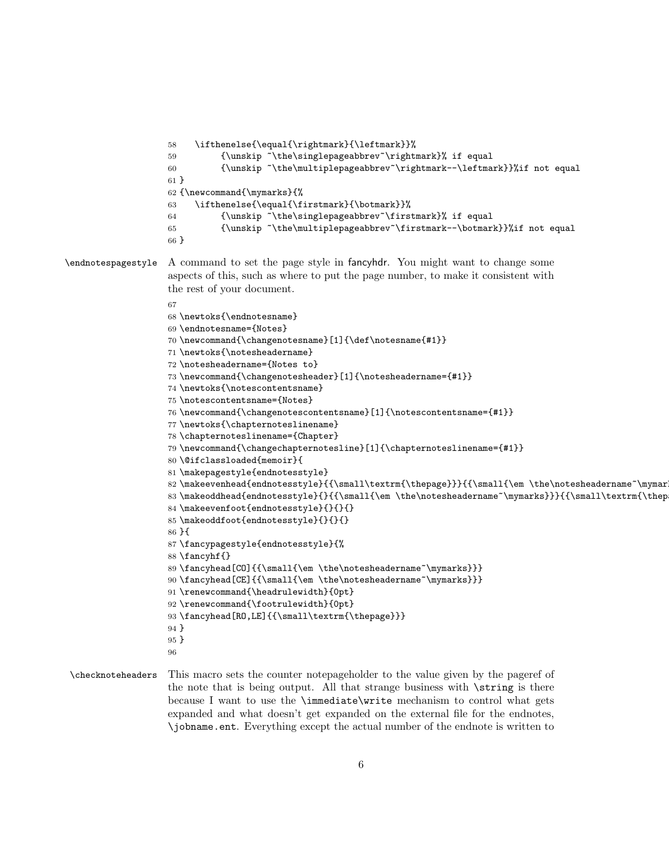```
58 \ifthenelse{\equal{\rightmark}{\leftmark}}%
                    59 {\unskip ~\the\singlepageabbrev~\rightmark}% if equal
                    60 {\unskip ~\the\multiplepageabbrev~\rightmark--\leftmark}}%if not equal
                    61 }
                    62 {\newcommand{\mymarks}{%
                    63 \ifthenelse{\equal{\firstmark}{\botmark}}%
                    64 {\unskip ~\the\singlepageabbrev~\firstmark}% if equal
                    65 {\unskip ~\the\multiplepageabbrev~\firstmark--\botmark}}%if not equal
                    66 }
\endnotespagestyle A command to set the page style in fancyhdr. You might want to change some
                    aspects of this, such as where to put the page number, to make it consistent with
                    the rest of your document.
                    67
                    68 \newtoks{\endnotesname}
                    69 \endnotesname={Notes}
                    70 \newcommand{\changenotesname}[1]{\def\notesname{#1}}
                    71 \newtoks{\notesheadername}
                    72 \notesheadername={Notes to}
                    73 \newcommand{\changenotesheader}[1]{\notesheadername={#1}}
                    74 \newtoks{\notescontentsname}
                    75 \notescontentsname={Notes}
                    76 \newcommand{\changenotescontentsname}[1]{\notescontentsname={#1}}
                    77 \newtoks{\chapternoteslinename}
                    78 \chapternoteslinename={Chapter}
                    79 \newcommand{\changechapternotesline}[1]{\chapternoteslinename={#1}}
                    80 \@ifclassloaded{memoir}{
                    81 \makepagestyle{endnotesstyle}
                    82 \makeevenhead{endnotesstyle}{{\small\textrm{\thepage}}}{{\small{\em \the\notesheadername~\mymar
                    83 \makeoddhead{endnotesstyle}{}{{\small{\em \the\notesheadername~\mymarks}}}{{\small\textrm{\thep
                    84 \makeevenfoot{endnotesstyle}{}{}{}
                    85 \makeoddfoot{endnotesstyle}{}{}{}
                    86 }{
                    87 \fancypagestyle{endnotesstyle}{%
                    88 \fancyhf{}
                    89\fancyhead[CO]{{\small{\em \the\notesheadername~\mymarks}}}
                    90 \fancyhead[CE]{{\small{\em \the\notesheadername~\mymarks}}}
                    91 \renewcommand{\headrulewidth}{0pt}
                    92 \renewcommand{\footrulewidth}{0pt}
                    93 \fancyhead[RO,LE]{{\small\textrm{\thepage}}}
                    94 }
                    95 }
                    96
\checknoteheaders This macro sets the counter notepageholder to the value given by the pageref of
```
the note that is being output. All that strange business with \string is there because I want to use the \immediate\write mechanism to control what gets expanded and what doesn't get expanded on the external file for the endnotes, \jobname.ent. Everything except the actual number of the endnote is written to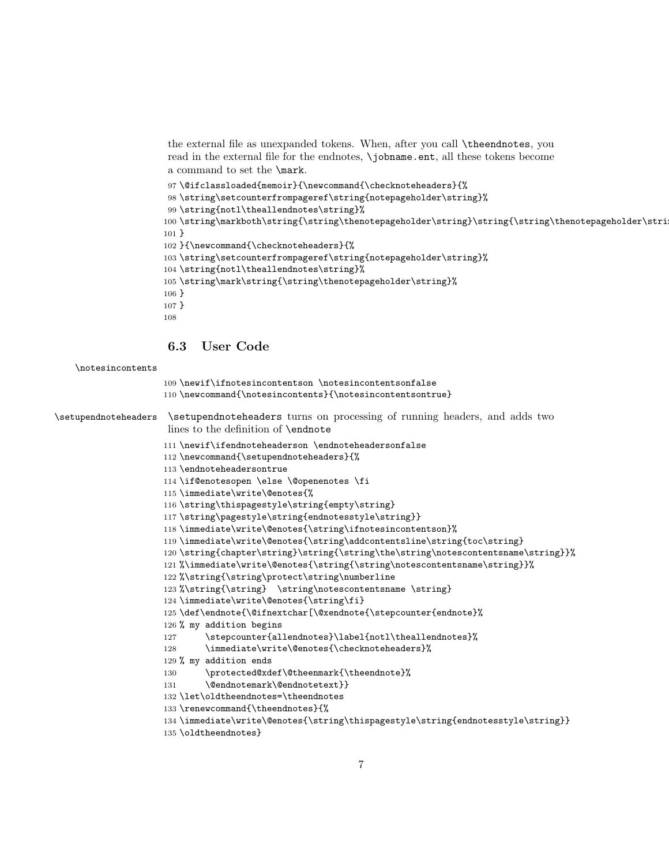the external file as unexpanded tokens. When, after you call \theendnotes, you read in the external file for the endnotes, \jobname.ent, all these tokens become a command to set the \mark.

```
97 \@ifclassloaded{memoir}{\newcommand{\checknoteheaders}{%
98 \string\setcounterfrompageref\string{notepageholder\string}%
99 \string{notl\theallendnotes\string}%
100 \string\markboth\string{\string\thenotepageholder\string}\string{\string\thenotepageholder\string}%
101 }
102 }{\newcommand{\checknoteheaders}{%
103 \string\setcounterfrompageref\string{notepageholder\string}%
104 \string{notl\theallendnotes\string}%
105 \string\mark\string{\string\thenotepageholder\string}%
106 }
107 }
108
```
6.3 User Code

```
\notesincontents
```

```
109 \newif\ifnotesincontentson \notesincontentsonfalse
                     110 \newcommand{\notesincontents}{\notesincontentsontrue}
\setupendnoteheaders \setupendnoteheaders turns on processing of running headers, and adds two
                      lines to the definition of \endnote
                     111 \newif\ifendnoteheaderson \endnoteheadersonfalse
                     112 \newcommand{\setupendnoteheaders}{%
                     113 \endnoteheadersontrue
                     114 \if@enotesopen \else \@openenotes \fi
                     115 \immediate\write\@enotes{%
                     116 \string\thispagestyle\string{empty\string}
                     117 \string\pagestyle\string{endnotesstyle\string}}
                     118 \immediate\write\@enotes{\string\ifnotesincontentson}%
                     119 \immediate\write\@enotes{\string\addcontentsline\string{toc\string}
                     120 \string{chapter\string}\string{\string\the\string\notescontentsname\string}}%
                     121 %\immediate\write\@enotes{\string{\string\notescontentsname\string}}%
                     122 %\string{\string\protect\string\numberline
                     123 %\string{\string} \string\notescontentsname \string}
                     124 \immediate\write\@enotes{\string\fi}
                     125 \def\endnote{\@ifnextchar[\@xendnote{\stepcounter{endnote}%
                     126 % my addition begins
                     127 \stepcounter{allendnotes}\label{notl\theallendnotes}%
                     128 \immediate\write\@enotes{\checknoteheaders}%
                     129 % my addition ends
                     130 \protected@xdef\@theenmark{\theendnote}%
                     131 \@endnotemark\@endnotetext}}
                     132 \let\oldtheendnotes=\theendnotes
                     133 \renewcommand{\theendnotes}{%
                     134 \immediate\write\@enotes{\string\thispagestyle\string{endnotesstyle\string}}
                     135 \oldtheendnotes}
```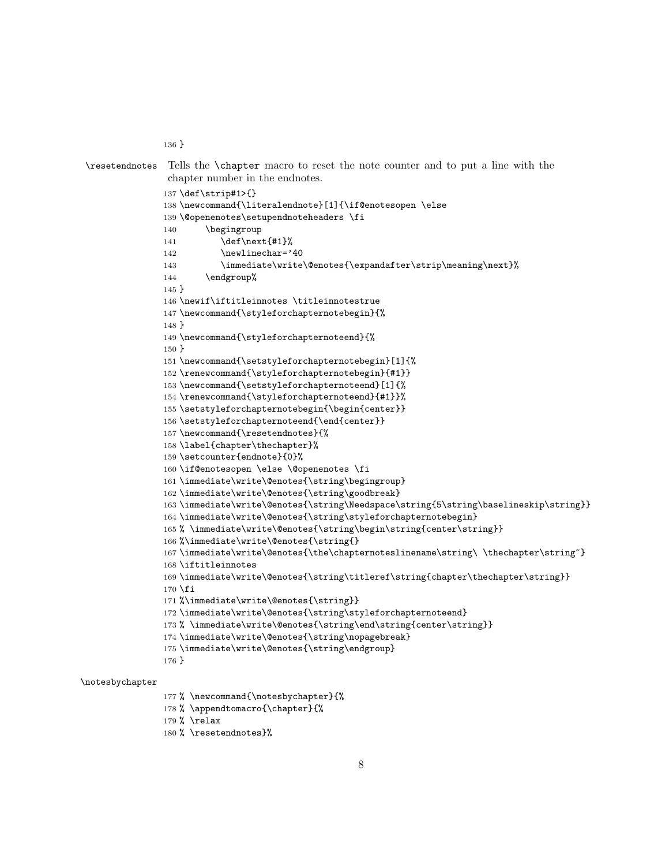```
\resetendnotes Tells the \chapter macro to reset the note counter and to put a line with the
                 chapter number in the endnotes.
                137 \def\strip#1>{}
                138 \newcommand{\literalendnote}[1]{\if@enotesopen \else
                139 \@openenotes\setupendnoteheaders \fi
                140 \begingroup
                141 \def\next{#1}%
                142 \newlinechar='40
                143 \immediate\write\@enotes{\expandafter\strip\meaning\next}%
                144 \endgroup%
                145 }
                146 \newif\iftitleinnotes \titleinnotestrue
                147 \newcommand{\styleforchapternotebegin}{%
                148 }
                149 \newcommand{\styleforchapternoteend}{%
                150 }
                151 \newcommand{\setstyleforchapternotebegin}[1]{%
                152 \renewcommand{\styleforchapternotebegin}{#1}}
                153 \newcommand{\setstyleforchapternoteend}[1]{%
                154 \renewcommand{\styleforchapternoteend}{#1}}%
                155 \setstyleforchapternotebegin{\begin{center}}
                156 \setstyleforchapternoteend{\end{center}}
                157 \newcommand{\resetendnotes}{%
                158 \label{chapter\thechapter}%
                159 \setcounter{endnote}{0}%
                160 \if@enotesopen \else \@openenotes \fi
                161 \immediate\write\@enotes{\string\begingroup}
                162 \immediate\write\@enotes{\string\goodbreak}
                163 \immediate\write\@enotes{\string\Needspace\string{5\string\baselineskip\string}}
                164 \immediate\write\@enotes{\string\styleforchapternotebegin}
                165 % \immediate\write\@enotes{\string\begin\string{center\string}}
                166 %\immediate\write\@enotes{\string{}
                167 \immediate\write\@enotes{\the\chapternoteslinename\string\ \thechapter\string~}
                168 \iftitleinnotes
                169 \immediate\write\@enotes{\string\titleref\string{chapter\thechapter\string}}
                170 \fi
                171 %\immediate\write\@enotes{\string}}
                172 \immediate\write\@enotes{\string\styleforchapternoteend}
                173 % \immediate\write\@enotes{\string\end\string{center\string}}
                174 \immediate\write\@enotes{\string\nopagebreak}
                175 \immediate\write\@enotes{\string\endgroup}
                176 }
\notesbychapter
```
% \newcommand{\notesbychapter}{%

```
178 % \appendtomacro{\chapter}{%
```
% \relax

}

```
180 % \resetendnotes}%
```